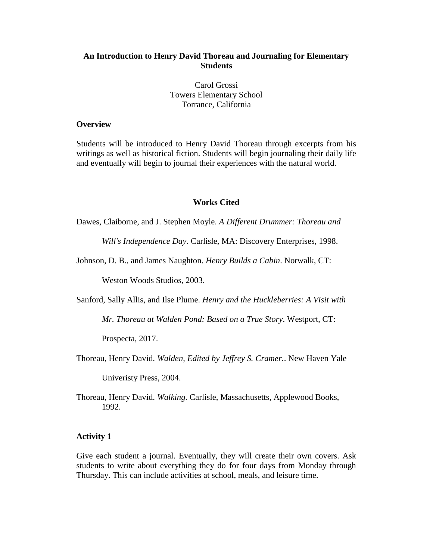# **An Introduction to Henry David Thoreau and Journaling for Elementary Students**

Carol Grossi Towers Elementary School Torrance, California

# **Overview**

Students will be introduced to Henry David Thoreau through excerpts from his writings as well as historical fiction. Students will begin journaling their daily life and eventually will begin to journal their experiences with the natural world.

### **Works Cited**

Dawes, Claiborne, and J. Stephen Moyle. *A Different Drummer: Thoreau and* 

*Will's Independence Day*. Carlisle, MA: Discovery Enterprises, 1998.

Johnson, D. B., and James Naughton. *Henry Builds a Cabin*. Norwalk, CT:

Weston Woods Studios, 2003.

Sanford, Sally Allis, and Ilse Plume. *Henry and the Huckleberries: A Visit with* 

*Mr. Thoreau at Walden Pond: Based on a True Story*. Westport, CT:

Prospecta, 2017.

Thoreau, Henry David. *Walden, Edited by Jeffrey S. Cramer.*. New Haven Yale

Univeristy Press, 2004.

Thoreau, Henry David. *Walking*. Carlisle, Massachusetts, Applewood Books, 1992.

#### **Activity 1**

Give each student a journal. Eventually, they will create their own covers. Ask students to write about everything they do for four days from Monday through Thursday. This can include activities at school, meals, and leisure time.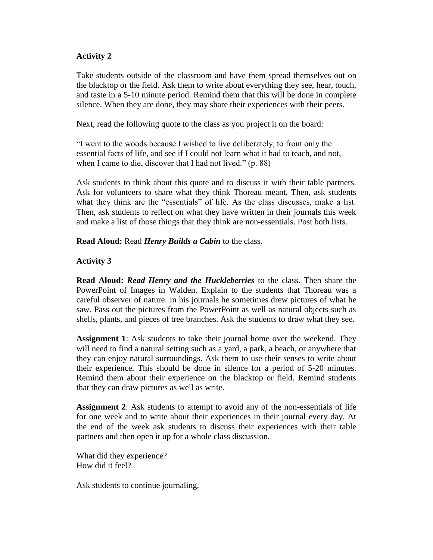# **Activity 2**

Take students outside of the classroom and have them spread themselves out on the blacktop or the field. Ask them to write about everything they see, hear, touch, and taste in a 5-10 minute period. Remind them that this will be done in complete silence. When they are done, they may share their experiences with their peers.

Next, read the following quote to the class as you project it on the board:

"I went to the woods because I wished to live deliberately, to front only the essential facts of life, and see if I could not learn what it had to teach, and not, when I came to die, discover that I had not lived." (p. 88)

Ask students to think about this quote and to discuss it with their table partners. Ask for volunteers to share what they think Thoreau meant. Then, ask students what they think are the "essentials" of life. As the class discusses, make a list. Then, ask students to reflect on what they have written in their journals this week and make a list of those things that they think are non-essentials. Post both lists.

**Read Aloud:** Read *Henry Builds a Cabin* to the class.

# **Activity 3**

**Read Aloud:** *Read Henry and the Huckleberries* to the class. Then share the PowerPoint of Images in Walden. Explain to the students that Thoreau was a careful observer of nature. In his journals he sometimes drew pictures of what he saw. Pass out the pictures from the PowerPoint as well as natural objects such as shells, plants, and pieces of tree branches. Ask the students to draw what they see.

**Assignment 1**: Ask students to take their journal home over the weekend. They will need to find a natural setting such as a yard, a park, a beach, or anywhere that they can enjoy natural surroundings. Ask them to use their senses to write about their experience. This should be done in silence for a period of 5-20 minutes. Remind them about their experience on the blacktop or field. Remind students that they can draw pictures as well as write.

**Assignment 2**: Ask students to attempt to avoid any of the non-essentials of life for one week and to write about their experiences in their journal every day. At the end of the week ask students to discuss their experiences with their table partners and then open it up for a whole class discussion.

What did they experience? How did it feel?

Ask students to continue journaling.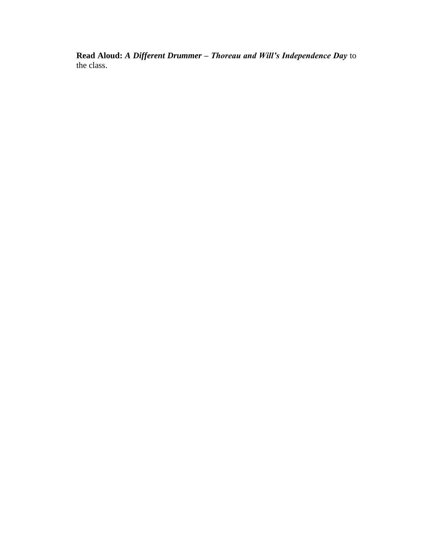**Read Aloud:** *A Different Drummer – Thoreau and Will's Independence Day* to the class.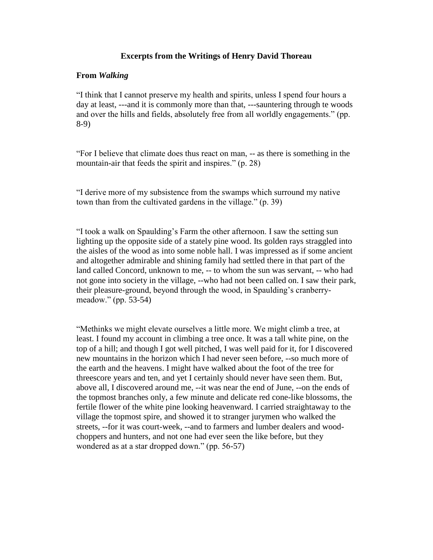# **Excerpts from the Writings of Henry David Thoreau**

# **From** *Walking*

"I think that I cannot preserve my health and spirits, unless I spend four hours a day at least, ---and it is commonly more than that, ---sauntering through te woods and over the hills and fields, absolutely free from all worldly engagements." (pp. 8-9)

"For I believe that climate does thus react on man, -- as there is something in the mountain-air that feeds the spirit and inspires." (p. 28)

"I derive more of my subsistence from the swamps which surround my native town than from the cultivated gardens in the village." (p. 39)

"I took a walk on Spaulding's Farm the other afternoon. I saw the setting sun lighting up the opposite side of a stately pine wood. Its golden rays straggled into the aisles of the wood as into some noble hall. I was impressed as if some ancient and altogether admirable and shining family had settled there in that part of the land called Concord, unknown to me, -- to whom the sun was servant, -- who had not gone into society in the village, --who had not been called on. I saw their park, their pleasure-ground, beyond through the wood, in Spaulding's cranberrymeadow." (pp. 53-54)

"Methinks we might elevate ourselves a little more. We might climb a tree, at least. I found my account in climbing a tree once. It was a tall white pine, on the top of a hill; and though I got well pitched, I was well paid for it, for I discovered new mountains in the horizon which I had never seen before, --so much more of the earth and the heavens. I might have walked about the foot of the tree for threescore years and ten, and yet I certainly should never have seen them. But, above all, I discovered around me, --it was near the end of June, --on the ends of the topmost branches only, a few minute and delicate red cone-like blossoms, the fertile flower of the white pine looking heavenward. I carried straightaway to the village the topmost spire, and showed it to stranger jurymen who walked the streets, --for it was court-week, --and to farmers and lumber dealers and woodchoppers and hunters, and not one had ever seen the like before, but they wondered as at a star dropped down." (pp. 56-57)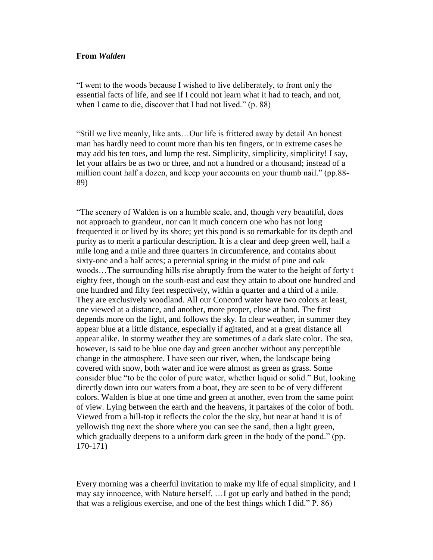#### **From** *Walden*

"I went to the woods because I wished to live deliberately, to front only the essential facts of life, and see if I could not learn what it had to teach, and not, when I came to die, discover that I had not lived." (p. 88)

"Still we live meanly, like ants…Our life is frittered away by detail An honest man has hardly need to count more than his ten fingers, or in extreme cases he may add his ten toes, and lump the rest. Simplicity, simplicity, simplicity! I say, let your affairs be as two or three, and not a hundred or a thousand; instead of a million count half a dozen, and keep your accounts on your thumb nail." (pp.88- 89)

"The scenery of Walden is on a humble scale, and, though very beautiful, does not approach to grandeur, nor can it much concern one who has not long frequented it or lived by its shore; yet this pond is so remarkable for its depth and purity as to merit a particular description. It is a clear and deep green well, half a mile long and a mile and three quarters in circumference, and contains about sixty-one and a half acres; a perennial spring in the midst of pine and oak woods…The surrounding hills rise abruptly from the water to the height of forty t eighty feet, though on the south-east and east they attain to about one hundred and one hundred and fifty feet respectively, within a quarter and a third of a mile. They are exclusively woodland. All our Concord water have two colors at least, one viewed at a distance, and another, more proper, close at hand. The first depends more on the light, and follows the sky. In clear weather, in summer they appear blue at a little distance, especially if agitated, and at a great distance all appear alike. In stormy weather they are sometimes of a dark slate color. The sea, however, is said to be blue one day and green another without any perceptible change in the atmosphere. I have seen our river, when, the landscape being covered with snow, both water and ice were almost as green as grass. Some consider blue "to be the color of pure water, whether liquid or solid." But, looking directly down into our waters from a boat, they are seen to be of very different colors. Walden is blue at one time and green at another, even from the same point of view. Lying between the earth and the heavens, it partakes of the color of both. Viewed from a hill-top it reflects the color the the sky, but near at hand it is of yellowish ting next the shore where you can see the sand, then a light green, which gradually deepens to a uniform dark green in the body of the pond." (pp. 170-171)

Every morning was a cheerful invitation to make my life of equal simplicity, and I may say innocence, with Nature herself. …I got up early and bathed in the pond; that was a religious exercise, and one of the best things which I did." P. 86)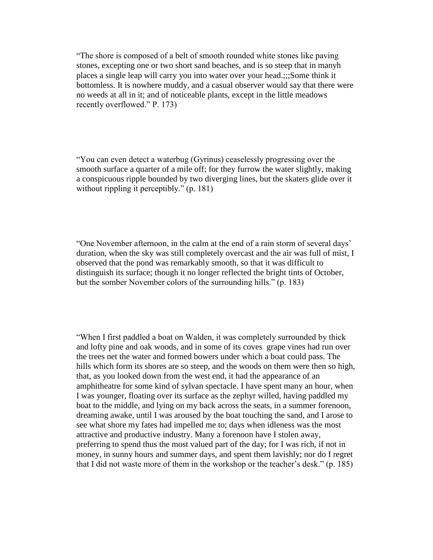"The shore is composed of a belt of smooth rounded white stones like paving stones, excepting one or two short sand beaches, and is so steep that in manyh places a single leap will carry you into water over your head.;;;Some think it bottomless. It is nowhere muddy, and a casual observer would say that there were no weeds at all in it; and of noticeable plants, except in the little meadows recently overflowed." P. 173)

"You can even detect a waterbug (Gyrinus) ceaselessly progressing over the smooth surface a quarter of a mile off; for they furrow the water slightly, making a conspicuous ripple bounded by two diverging lines, but the skaters glide over it without rippling it perceptibly." (p. 181)

"One November afternoon, in the calm at the end of a rain storm of several days' duration, when the sky was still completely overcast and the air was full of mist, I observed that the pond was remarkably smooth, so that it was difficult to distinguish its surface; though it no longer reflected the bright tints of October, but the somber November colors of the surrounding hills." (p. 183)

"When I first paddled a boat on Walden, it was completely surrounded by thick and lofty pine and oak woods, and in some of its coves grape vines had run over the trees net the water and formed bowers under which a boat could pass. The hills which form its shores are so steep, and the woods on them were then so high, that, as you looked down from the west end, it had the appearance of an amphitheatre for some kind of sylvan spectacle. I have spent many an hour, when I was younger, floating over its surface as the zephyr willed, having paddled my boat to the middle, and lying on my back across the seats, in a summer forenoon, dreaming awake, until I was aroused by the boat touching the sand, and I arose to see what shore my fates had impelled me to; days when idleness was the most attractive and productive industry. Many a forenoon have I stolen away, preferring to spend thus the most valued part of the day; for I was rich, if not in money, in sunny hours and summer days, and spent them lavishly; nor do I regret that I did not waste more of them in the workshop or the teacher's desk." (p. 185)